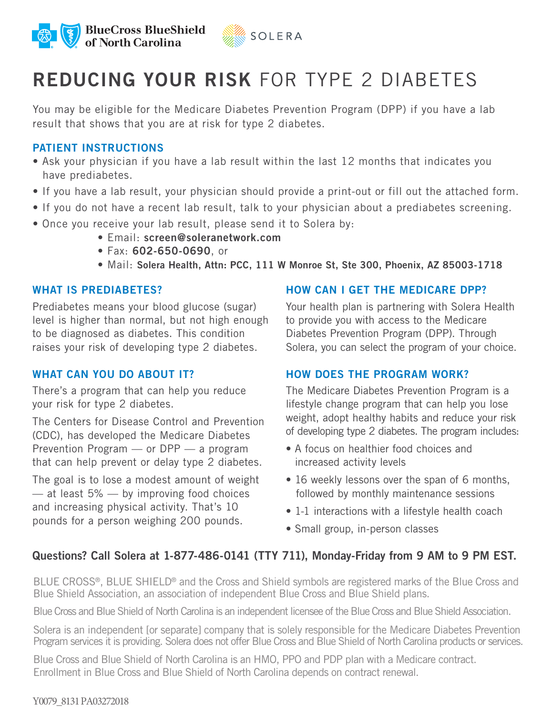



# REDUCING YOUR RISK FOR TYPE 2 DIABETES

You may be eligible for the Medicare Diabetes Prevention Program (DPP) if you have a lab result that shows that you are at risk for type 2 diabetes.

# PATIENT INSTRUCTIONS

- Ask your physician if you have a lab result within the last 12 months that indicates you have prediabetes.
- If you have a lab result, your physician should provide a print-out or fill out the attached form.
- If you do not have a recent lab result, talk to your physician about a prediabetes screening.
- Once you receive your lab result, please send it to Solera by:
	- Email: screen@soleranetwork.com
	- Fax: 602-650-0690, or
	- Mail: Solera Health, Attn: PCC, 111 W Monroe St, Ste 300, Phoenix, AZ 85003-1718

## WHAT IS PREDIABETES?

Prediabetes means your blood glucose (sugar) level is higher than normal, but not high enough to be diagnosed as diabetes. This condition raises your risk of developing type 2 diabetes.

## WHAT CAN YOU DO ABOUT IT?

There's a program that can help you reduce your risk for type 2 diabetes.

The Centers for Disease Control and Prevention (CDC), has developed the Medicare Diabetes Prevention Program — or DPP — a program that can help prevent or delay type 2 diabetes.

The goal is to lose a modest amount of weight  $-$  at least 5%  $-$  by improving food choices and increasing physical activity. That's 10 pounds for a person weighing 200 pounds.

## HOW CAN I GET THE MEDICARE DPP?

Your health plan is partnering with Solera Health to provide you with access to the Medicare Diabetes Prevention Program (DPP). Through Solera, you can select the program of your choice.

# HOW DOES THE PROGRAM WORK?

The Medicare Diabetes Prevention Program is a lifestyle change program that can help you lose weight, adopt healthy habits and reduce your risk of developing type 2 diabetes. The program includes:

- A focus on healthier food choices and increased activity levels
- 16 weekly lessons over the span of 6 months, followed by monthly maintenance sessions
- 1-1 interactions with a lifestyle health coach
- Small group, in-person classes

# Questions? Call Solera at 1-877-486-0141 (TTY 711), Monday-Friday from 9 AM to 9 PM EST.

BLUE CROSS<sup>®</sup>, BLUE SHIELD<sup>®</sup> and the Cross and Shield symbols are registered marks of the Blue Cross and Blue Shield Association, an association of independent Blue Cross and Blue Shield plans.

Blue Cross and Blue Shield of North Carolina is an independent licensee of the Blue Cross and Blue Shield Association.

Solera is an independent [or separate] company that is solely responsible for the Medicare Diabetes Prevention Program services it is providing. Solera does not offer Blue Cross and Blue Shield of North Carolina products or services.

Blue Cross and Blue Shield of North Carolina is an HMO, PPO and PDP plan with a Medicare contract. Enrollment in Blue Cross and Blue Shield of North Carolina depends on contract renewal.

#### Y0079\_8131 PA03272018